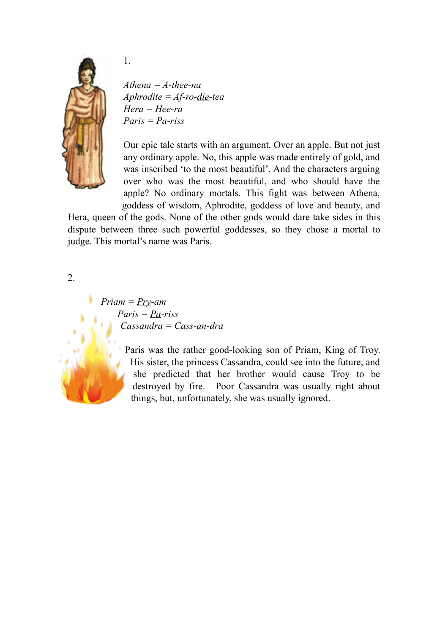

1.

*Athena = A-thee-na Aphrodite = Af-ro-die-tea Hera = Hee-ra Paris = Pa-riss* 

Our epic tale starts with an argument. Over an apple. But not just any ordinary apple. No, this apple was made entirely of gold, and was inscribed 'to the most beautiful'. And the characters arguing over who was the most beautiful, and who should have the apple? No ordinary mortals. This fight was between Athena, goddess of wisdom, Aphrodite, goddess of love and beauty, and

Hera, queen of the gods. None of the other gods would dare take sides in this dispute between three such powerful goddesses, so they chose a mortal to judge. This mortal's name was Paris.

2.

*Priam = Pry-am Paris = Pa-riss Cassandra = Cass-an-dra* 



Paris was the rather good-looking son of Priam, King of Troy. His sister, the princess Cassandra, could see into the future, and she predicted that her brother would cause Troy to be destroyed by fire. Poor Cassandra was usually right about things, but, unfortunately, she was usually ignored.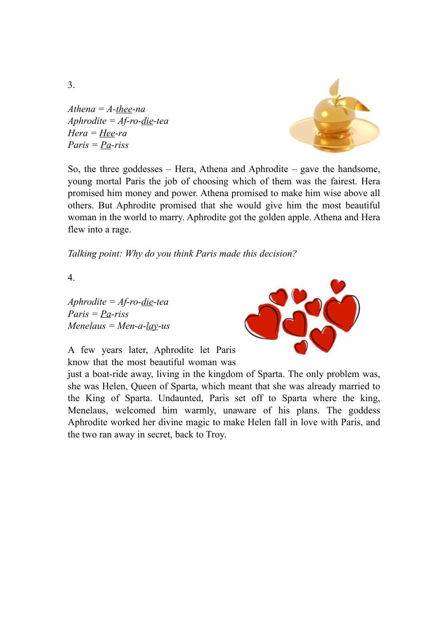*Athena = A-thee-na Aphrodite = Af-ro-die-tea Hera = Hee-ra Paris = Pa-riss* 



So, the three goddesses – Hera, Athena and Aphrodite – gave the handsome, young mortal Paris the job of choosing which of them was the fairest. Hera promised him money and power. Athena promised to make him wise above all others. But Aphrodite promised that she would give him the most beautiful woman in the world to marry. Aphrodite got the golden apple. Athena and Hera flew into a rage.

*Talking point: Why do you think Paris made this decision?*

4.

*Aphrodite = Af-ro-die-tea Paris = Pa-riss Menelaus = Men-a-lay-us* 



A few years later, Aphrodite let Paris know that the most beautiful woman was

just a boat-ride away, living in the kingdom of Sparta. The only problem was, she was Helen, Queen of Sparta, which meant that she was already married to the King of Sparta. Undaunted, Paris set off to Sparta where the king, Menelaus, welcomed him warmly, unaware of his plans. The goddess Aphrodite worked her divine magic to make Helen fall in love with Paris, and the two ran away in secret, back to Troy.

3.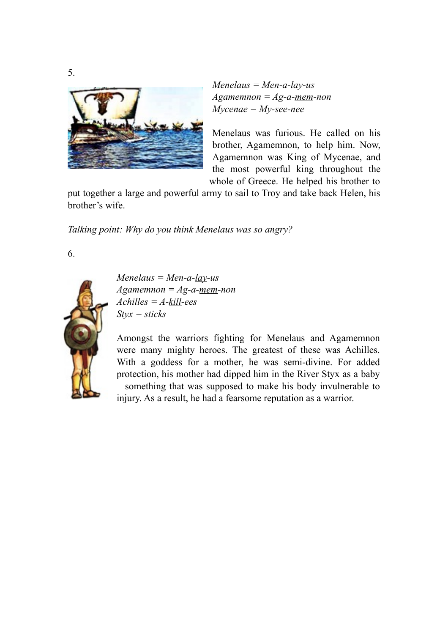

*Menelaus = Men-a-lay-us Agamemnon = Ag-a-mem-non Mycenae = My-see-nee* 

Menelaus was furious. He called on his brother, Agamemnon, to help him. Now, Agamemnon was King of Mycenae, and the most powerful king throughout the whole of Greece. He helped his brother to

put together a large and powerful army to sail to Troy and take back Helen, his brother's wife.

*Talking point: Why do you think Menelaus was so angry?* 

6.



*Menelaus = Men-a-lay-us Agamemnon = Ag-a-mem-non Achilles = A-kill-ees Styx = sticks* 

Amongst the warriors fighting for Menelaus and Agamemnon were many mighty heroes. The greatest of these was Achilles. With a goddess for a mother, he was semi-divine. For added protection, his mother had dipped him in the River Styx as a baby – something that was supposed to make his body invulnerable to injury. As a result, he had a fearsome reputation as a warrior.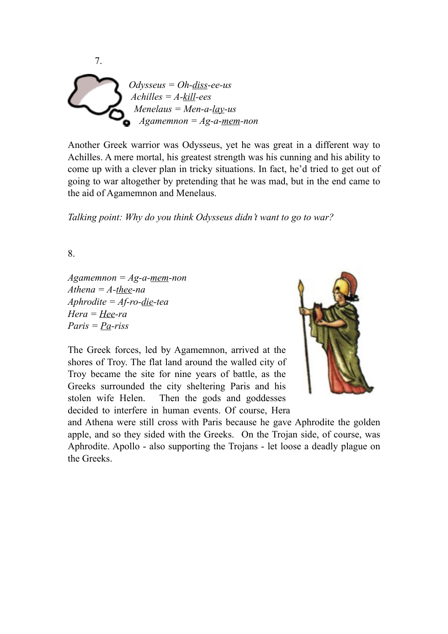

Another Greek warrior was Odysseus, yet he was great in a different way to Achilles. A mere mortal, his greatest strength was his cunning and his ability to come up with a clever plan in tricky situations. In fact, he'd tried to get out of going to war altogether by pretending that he was mad, but in the end came to the aid of Agamemnon and Menelaus.

*Talking point: Why do you think Odysseus didn't want to go to war?* 

8.

*Agamemnon = Ag-a-mem-non Athena = A-thee-na Aphrodite = Af-ro-die-tea Hera = Hee-ra Paris = Pa-riss* 

The Greek forces, led by Agamemnon, arrived at the shores of Troy. The flat land around the walled city of Troy became the site for nine years of battle, as the Greeks surrounded the city sheltering Paris and his stolen wife Helen. Then the gods and goddesses decided to interfere in human events. Of course, Hera



and Athena were still cross with Paris because he gave Aphrodite the golden apple, and so they sided with the Greeks. On the Trojan side, of course, was Aphrodite. Apollo - also supporting the Trojans - let loose a deadly plague on the Greeks.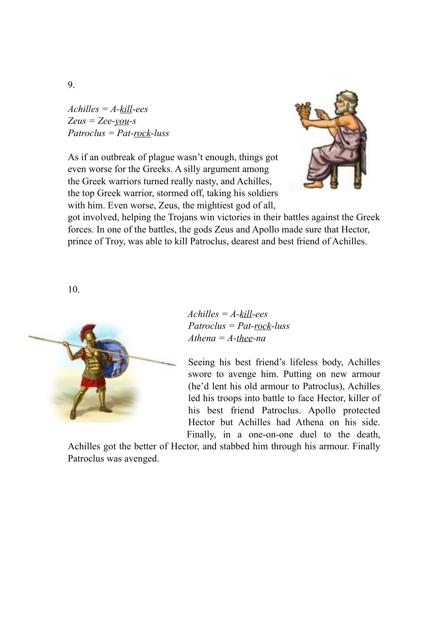*Achilles = A-kill-ees Zeus = Zee-you-s Patroclus = Pat-rock-luss* 

As if an outbreak of plague wasn't enough, things got even worse for the Greeks. A silly argument among the Greek warriors turned really nasty, and Achilles, the top Greek warrior, stormed off, taking his soldiers with him. Even worse, Zeus, the mightiest god of all,



got involved, helping the Trojans win victories in their battles against the Greek forces. In one of the battles, the gods Zeus and Apollo made sure that Hector, prince of Troy, was able to kill Patroclus, dearest and best friend of Achilles.

10.



*Achilles = A-kill-ees Patroclus = Pat-rock-luss Athena = A-thee-na*

Seeing his best friend's lifeless body, Achilles swore to avenge him. Putting on new armour (he'd lent his old armour to Patroclus), Achilles led his troops into battle to face Hector, killer of his best friend Patroclus. Apollo protected Hector but Achilles had Athena on his side. Finally, in a one-on-one duel to the death,

Achilles got the better of Hector, and stabbed him through his armour. Finally Patroclus was avenged.

9.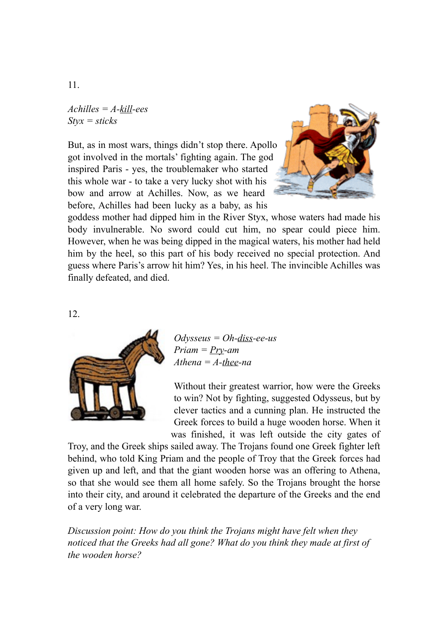*Achilles = A-kill-ees Styx = sticks* 

But, as in most wars, things didn't stop there. Apollo got involved in the mortals' fighting again. The god inspired Paris - yes, the troublemaker who started this whole war - to take a very lucky shot with his bow and arrow at Achilles. Now, as we heard before, Achilles had been lucky as a baby, as his



goddess mother had dipped him in the River Styx, whose waters had made his body invulnerable. No sword could cut him, no spear could piece him. However, when he was being dipped in the magical waters, his mother had held him by the heel, so this part of his body received no special protection. And guess where Paris's arrow hit him? Yes, in his heel. The invincible Achilles was finally defeated, and died.

12.



*Odysseus = Oh-diss-ee-us Priam = Pry-am Athena = A-thee-na* 

Without their greatest warrior, how were the Greeks to win? Not by fighting, suggested Odysseus, but by clever tactics and a cunning plan. He instructed the Greek forces to build a huge wooden horse. When it was finished, it was left outside the city gates of

Troy, and the Greek ships sailed away. The Trojans found one Greek fighter left behind, who told King Priam and the people of Troy that the Greek forces had given up and left, and that the giant wooden horse was an offering to Athena, so that she would see them all home safely. So the Trojans brought the horse into their city, and around it celebrated the departure of the Greeks and the end of a very long war.

*Discussion point: How do you think the Trojans might have felt when they noticed that the Greeks had all gone? What do you think they made at first of the wooden horse?*

11.